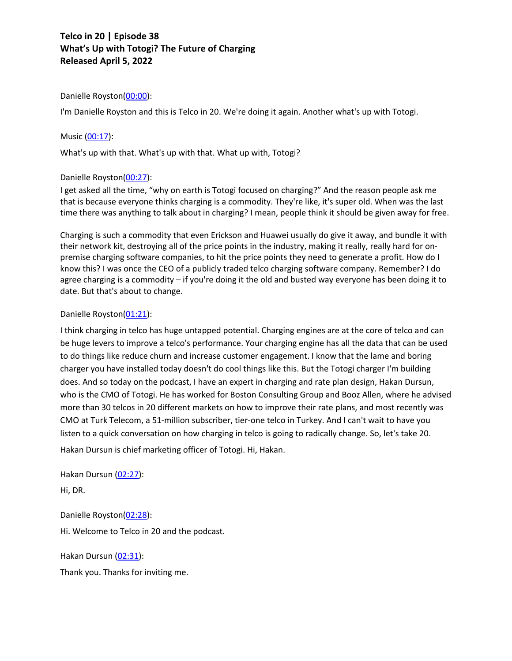### Danielle Royston(00:00):

I'm Danielle Royston and this is Telco in 20. We're doing it again. Another what's up with Totogi.

#### Music (00:17):

What's up with that. What's up with that. What up with, Totogi?

### Danielle Royston(00:27):

I get asked all the time, "why on earth is Totogi focused on charging?" And the reason people ask me that is because everyone thinks charging is a commodity. They're like, it's super old. When was the last time there was anything to talk about in charging? I mean, people think it should be given away for free.

Charging is such a commodity that even Erickson and Huawei usually do give it away, and bundle it with their network kit, destroying all of the price points in the industry, making it really, really hard for onpremise charging software companies, to hit the price points they need to generate a profit. How do I know this? I was once the CEO of a publicly traded telco charging software company. Remember? I do agree charging is a commodity – if you're doing it the old and busted way everyone has been doing it to date. But that's about to change.

### Danielle Royston(01:21):

I think charging in telco has huge untapped potential. Charging engines are at the core of telco and can be huge levers to improve a telco's performance. Your charging engine has all the data that can be used to do things like reduce churn and increase customer engagement. I know that the lame and boring charger you have installed today doesn't do cool things like this. But the Totogi charger I'm building does. And so today on the podcast, I have an expert in charging and rate plan design, Hakan Dursun, who is the CMO of Totogi. He has worked for Boston Consulting Group and Booz Allen, where he advised more than 30 telcos in 20 different markets on how to improve their rate plans, and most recently was CMO at Turk Telecom, a 51-million subscriber, tier-one telco in Turkey. And I can't wait to have you listen to a quick conversation on how charging in telco is going to radically change. So, let's take 20. Hakan Dursun is chief marketing officer of Totogi. Hi, Hakan.

Hakan Dursun (02:27):

Hi, DR.

Danielle Royston(02:28):

Hi. Welcome to Telco in 20 and the podcast.

Hakan Dursun (02:31):

Thank you. Thanks for inviting me.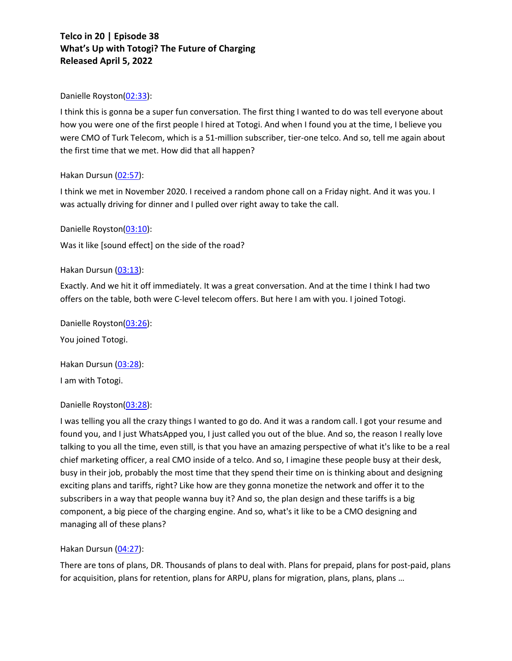### Danielle Royston(02:33):

I think this is gonna be a super fun conversation. The first thing I wanted to do was tell everyone about how you were one of the first people I hired at Totogi. And when I found you at the time, I believe you were CMO of Turk Telecom, which is a 51-million subscriber, tier-one telco. And so, tell me again about the first time that we met. How did that all happen?

## Hakan Dursun (02:57):

I think we met in November 2020. I received a random phone call on a Friday night. And it was you. I was actually driving for dinner and I pulled over right away to take the call.

## Danielle Royston(03:10):

Was it like [sound effect] on the side of the road?

## Hakan Dursun (03:13):

Exactly. And we hit it off immediately. It was a great conversation. And at the time I think I had two offers on the table, both were C-level telecom offers. But here I am with you. I joined Totogi.

Danielle Royston(03:26): You joined Totogi.

Hakan Dursun (03:28): I am with Totogi.

## Danielle Royston(03:28):

I was telling you all the crazy things I wanted to go do. And it was a random call. I got your resume and found you, and I just WhatsApped you, I just called you out of the blue. And so, the reason I really love talking to you all the time, even still, is that you have an amazing perspective of what it's like to be a real chief marketing officer, a real CMO inside of a telco. And so, I imagine these people busy at their desk, busy in their job, probably the most time that they spend their time on is thinking about and designing exciting plans and tariffs, right? Like how are they gonna monetize the network and offer it to the subscribers in a way that people wanna buy it? And so, the plan design and these tariffs is a big component, a big piece of the charging engine. And so, what's it like to be a CMO designing and managing all of these plans?

### Hakan Dursun (04:27):

There are tons of plans, DR. Thousands of plans to deal with. Plans for prepaid, plans for post-paid, plans for acquisition, plans for retention, plans for ARPU, plans for migration, plans, plans, plans …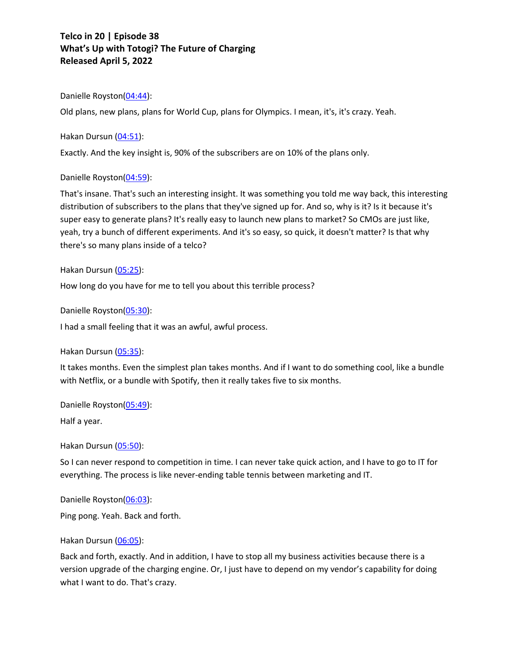## Danielle Royston(04:44):

Old plans, new plans, plans for World Cup, plans for Olympics. I mean, it's, it's crazy. Yeah.

### Hakan Dursun (04:51):

Exactly. And the key insight is, 90% of the subscribers are on 10% of the plans only.

## Danielle Royston(04:59):

That's insane. That's such an interesting insight. It was something you told me way back, this interesting distribution of subscribers to the plans that they've signed up for. And so, why is it? Is it because it's super easy to generate plans? It's really easy to launch new plans to market? So CMOs are just like, yeah, try a bunch of different experiments. And it's so easy, so quick, it doesn't matter? Is that why there's so many plans inside of a telco?

## Hakan Dursun (05:25):

How long do you have for me to tell you about this terrible process?

Danielle Royston(05:30):

I had a small feeling that it was an awful, awful process.

### Hakan Dursun (05:35):

It takes months. Even the simplest plan takes months. And if I want to do something cool, like a bundle with Netflix, or a bundle with Spotify, then it really takes five to six months.

Danielle Royston(05:49):

Half a year.

Hakan Dursun (05:50):

So I can never respond to competition in time. I can never take quick action, and I have to go to IT for everything. The process is like never-ending table tennis between marketing and IT.

Danielle Royston(06:03):

Ping pong. Yeah. Back and forth.

### Hakan Dursun (06:05):

Back and forth, exactly. And in addition, I have to stop all my business activities because there is a version upgrade of the charging engine. Or, I just have to depend on my vendor's capability for doing what I want to do. That's crazy.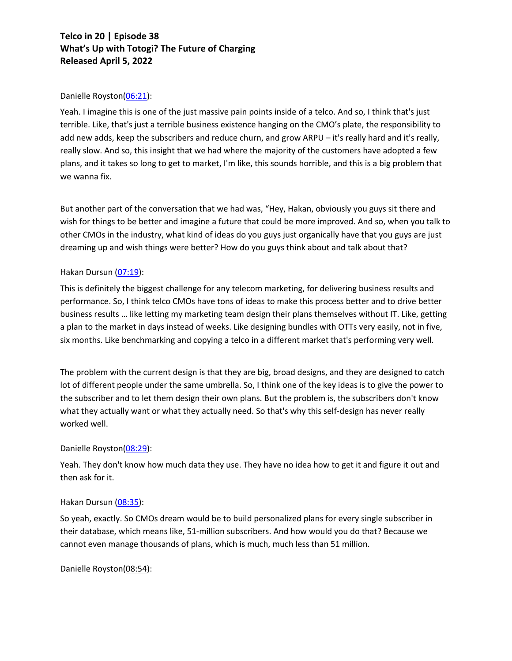## Danielle Royston(06:21):

Yeah. I imagine this is one of the just massive pain points inside of a telco. And so, I think that's just terrible. Like, that's just a terrible business existence hanging on the CMO's plate, the responsibility to add new adds, keep the subscribers and reduce churn, and grow ARPU – it's really hard and it's really, really slow. And so, this insight that we had where the majority of the customers have adopted a few plans, and it takes so long to get to market, I'm like, this sounds horrible, and this is a big problem that we wanna fix.

But another part of the conversation that we had was, "Hey, Hakan, obviously you guys sit there and wish for things to be better and imagine a future that could be more improved. And so, when you talk to other CMOs in the industry, what kind of ideas do you guys just organically have that you guys are just dreaming up and wish things were better? How do you guys think about and talk about that?

## Hakan Dursun (07:19):

This is definitely the biggest challenge for any telecom marketing, for delivering business results and performance. So, I think telco CMOs have tons of ideas to make this process better and to drive better business results … like letting my marketing team design their plans themselves without IT. Like, getting a plan to the market in days instead of weeks. Like designing bundles with OTTs very easily, not in five, six months. Like benchmarking and copying a telco in a different market that's performing very well.

The problem with the current design is that they are big, broad designs, and they are designed to catch lot of different people under the same umbrella. So, I think one of the key ideas is to give the power to the subscriber and to let them design their own plans. But the problem is, the subscribers don't know what they actually want or what they actually need. So that's why this self-design has never really worked well.

## Danielle Royston(08:29):

Yeah. They don't know how much data they use. They have no idea how to get it and figure it out and then ask for it.

### Hakan Dursun (08:35):

So yeah, exactly. So CMOs dream would be to build personalized plans for every single subscriber in their database, which means like, 51-million subscribers. And how would you do that? Because we cannot even manage thousands of plans, which is much, much less than 51 million.

Danielle Royston(08:54):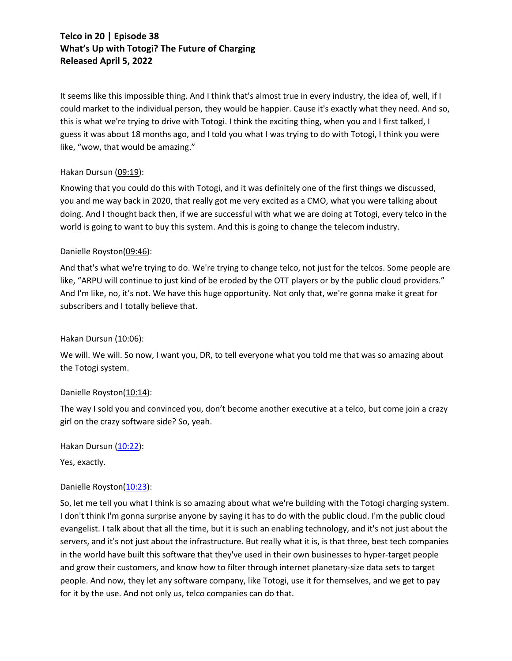It seems like this impossible thing. And I think that's almost true in every industry, the idea of, well, if I could market to the individual person, they would be happier. Cause it's exactly what they need. And so, this is what we're trying to drive with Totogi. I think the exciting thing, when you and I first talked, I guess it was about 18 months ago, and I told you what I was trying to do with Totogi, I think you were like, "wow, that would be amazing."

## Hakan Dursun (09:19):

Knowing that you could do this with Totogi, and it was definitely one of the first things we discussed, you and me way back in 2020, that really got me very excited as a CMO, what you were talking about doing. And I thought back then, if we are successful with what we are doing at Totogi, every telco in the world is going to want to buy this system. And this is going to change the telecom industry.

## Danielle Royston(09:46):

And that's what we're trying to do. We're trying to change telco, not just for the telcos. Some people are like, "ARPU will continue to just kind of be eroded by the OTT players or by the public cloud providers." And I'm like, no, it's not. We have this huge opportunity. Not only that, we're gonna make it great for subscribers and I totally believe that.

## Hakan Dursun (10:06):

We will. We will. So now, I want you, DR, to tell everyone what you told me that was so amazing about the Totogi system.

### Danielle Royston(10:14):

The way I sold you and convinced you, don't become another executive at a telco, but come join a crazy girl on the crazy software side? So, yeah.

Hakan Dursun (10:22):

Yes, exactly.

## Danielle Royston(10:23):

So, let me tell you what I think is so amazing about what we're building with the Totogi charging system. I don't think I'm gonna surprise anyone by saying it has to do with the public cloud. I'm the public cloud evangelist. I talk about that all the time, but it is such an enabling technology, and it's not just about the servers, and it's not just about the infrastructure. But really what it is, is that three, best tech companies in the world have built this software that they've used in their own businesses to hyper-target people and grow their customers, and know how to filter through internet planetary-size data sets to target people. And now, they let any software company, like Totogi, use it for themselves, and we get to pay for it by the use. And not only us, telco companies can do that.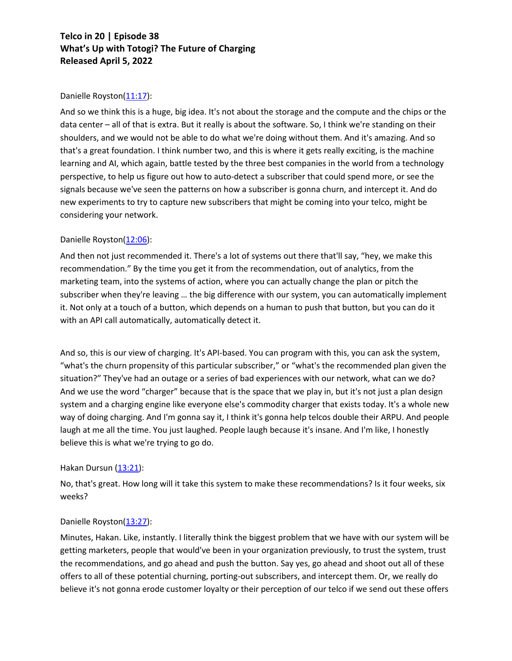## Danielle Royston(11:17):

And so we think this is a huge, big idea. It's not about the storage and the compute and the chips or the data center – all of that is extra. But it really is about the software. So, I think we're standing on their shoulders, and we would not be able to do what we're doing without them. And it's amazing. And so that's a great foundation. I think number two, and this is where it gets really exciting, is the machine learning and AI, which again, battle tested by the three best companies in the world from a technology perspective, to help us figure out how to auto-detect a subscriber that could spend more, or see the signals because we've seen the patterns on how a subscriber is gonna churn, and intercept it. And do new experiments to try to capture new subscribers that might be coming into your telco, might be considering your network.

## Danielle Royston(12:06):

And then not just recommended it. There's a lot of systems out there that'll say, "hey, we make this recommendation." By the time you get it from the recommendation, out of analytics, from the marketing team, into the systems of action, where you can actually change the plan or pitch the subscriber when they're leaving ... the big difference with our system, you can automatically implement it. Not only at a touch of a button, which depends on a human to push that button, but you can do it with an API call automatically, automatically detect it.

And so, this is our view of charging. It's API-based. You can program with this, you can ask the system, "what's the churn propensity of this particular subscriber," or "what's the recommended plan given the situation?" They've had an outage or a series of bad experiences with our network, what can we do? And we use the word "charger" because that is the space that we play in, but it's not just a plan design system and a charging engine like everyone else's commodity charger that exists today. It's a whole new way of doing charging. And I'm gonna say it, I think it's gonna help telcos double their ARPU. And people laugh at me all the time. You just laughed. People laugh because it's insane. And I'm like, I honestly believe this is what we're trying to go do.

### Hakan Dursun (13:21):

No, that's great. How long will it take this system to make these recommendations? Is it four weeks, six weeks?

### Danielle Royston(13:27):

Minutes, Hakan. Like, instantly. I literally think the biggest problem that we have with our system will be getting marketers, people that would've been in your organization previously, to trust the system, trust the recommendations, and go ahead and push the button. Say yes, go ahead and shoot out all of these offers to all of these potential churning, porting-out subscribers, and intercept them. Or, we really do believe it's not gonna erode customer loyalty or their perception of our telco if we send out these offers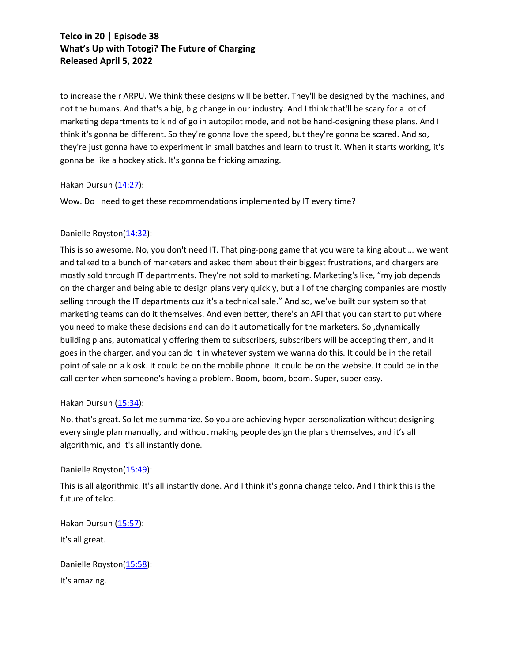to increase their ARPU. We think these designs will be better. They'll be designed by the machines, and not the humans. And that's a big, big change in our industry. And I think that'll be scary for a lot of marketing departments to kind of go in autopilot mode, and not be hand-designing these plans. And I think it's gonna be different. So they're gonna love the speed, but they're gonna be scared. And so, they're just gonna have to experiment in small batches and learn to trust it. When it starts working, it's gonna be like a hockey stick. It's gonna be fricking amazing.

### Hakan Dursun (14:27):

Wow. Do I need to get these recommendations implemented by IT every time?

## Danielle Royston(14:32):

This is so awesome. No, you don't need IT. That ping-pong game that you were talking about … we went and talked to a bunch of marketers and asked them about their biggest frustrations, and chargers are mostly sold through IT departments. They're not sold to marketing. Marketing's like, "my job depends on the charger and being able to design plans very quickly, but all of the charging companies are mostly selling through the IT departments cuz it's a technical sale." And so, we've built our system so that marketing teams can do it themselves. And even better, there's an API that you can start to put where you need to make these decisions and can do it automatically for the marketers. So ,dynamically building plans, automatically offering them to subscribers, subscribers will be accepting them, and it goes in the charger, and you can do it in whatever system we wanna do this. It could be in the retail point of sale on a kiosk. It could be on the mobile phone. It could be on the website. It could be in the call center when someone's having a problem. Boom, boom, boom. Super, super easy.

### Hakan Dursun (15:34):

No, that's great. So let me summarize. So you are achieving hyper-personalization without designing every single plan manually, and without making people design the plans themselves, and it's all algorithmic, and it's all instantly done.

## Danielle Royston(15:49):

This is all algorithmic. It's all instantly done. And I think it's gonna change telco. And I think this is the future of telco.

Hakan Dursun (15:57): It's all great.

Danielle Royston(15:58): It's amazing.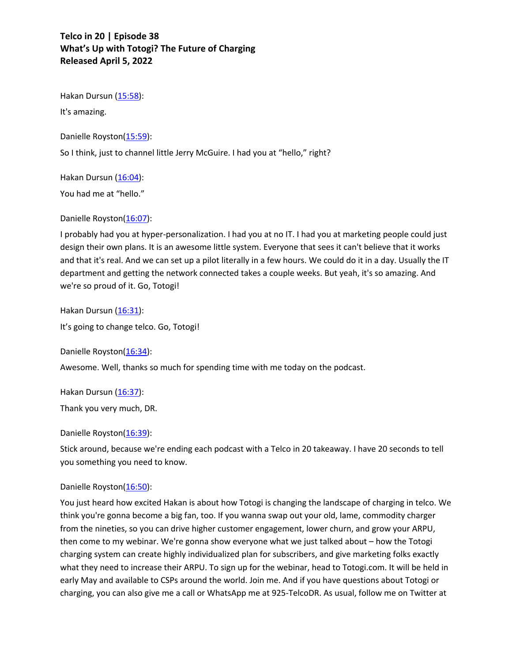Hakan Dursun (15:58):

It's amazing.

Danielle Royston(15:59):

So I think, just to channel little Jerry McGuire. I had you at "hello," right?

Hakan Dursun (16:04):

You had me at "hello."

## Danielle Royston(16:07):

I probably had you at hyper-personalization. I had you at no IT. I had you at marketing people could just design their own plans. It is an awesome little system. Everyone that sees it can't believe that it works and that it's real. And we can set up a pilot literally in a few hours. We could do it in a day. Usually the IT department and getting the network connected takes a couple weeks. But yeah, it's so amazing. And we're so proud of it. Go, Totogi!

Hakan Dursun (16:31):

It's going to change telco. Go, Totogi!

Danielle Royston(16:34):

Awesome. Well, thanks so much for spending time with me today on the podcast.

Hakan Dursun (16:37):

Thank you very much, DR.

### Danielle Royston(16:39):

Stick around, because we're ending each podcast with a Telco in 20 takeaway. I have 20 seconds to tell you something you need to know.

## Danielle Royston(16:50):

You just heard how excited Hakan is about how Totogi is changing the landscape of charging in telco. We think you're gonna become a big fan, too. If you wanna swap out your old, lame, commodity charger from the nineties, so you can drive higher customer engagement, lower churn, and grow your ARPU, then come to my webinar. We're gonna show everyone what we just talked about – how the Totogi charging system can create highly individualized plan for subscribers, and give marketing folks exactly what they need to increase their ARPU. To sign up for the webinar, head to Totogi.com. It will be held in early May and available to CSPs around the world. Join me. And if you have questions about Totogi or charging, you can also give me a call or WhatsApp me at 925-TelcoDR. As usual, follow me on Twitter at